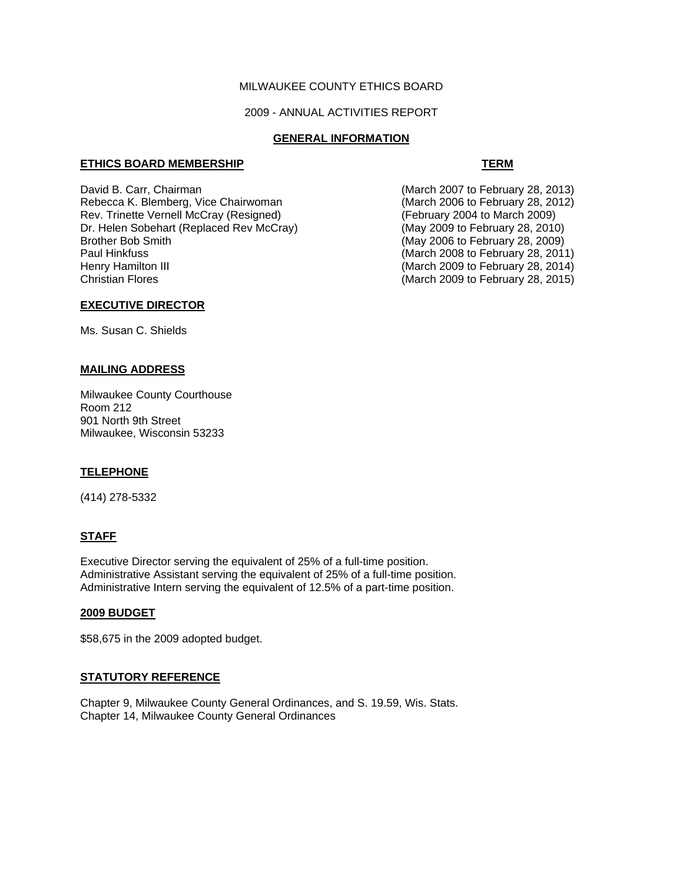## MILWAUKEE COUNTY ETHICS BOARD

## 2009 - ANNUAL ACTIVITIES REPORT

## **GENERAL INFORMATION**

#### **ETHICS BOARD MEMBERSHIP TERM**

David B. Carr, Chairman (March 2007 to February 28, 2013)<br>Rebecca K. Blemberg, Vice Chairwoman (March 2006 to February 28, 2012) Rebecca K. Blemberg, Vice Chairwoman Rev. Trinette Vernell McCray (Resigned) (February 2004 to March 2009)<br>Dr. Helen Sobehart (Replaced Rev McCray) (May 2009 to February 28, 2010) Dr. Helen Sobehart (Replaced Rev McCray)<br>Brother Bob Smith Paul Hinkfuss (March 2008 to February 28, 2011) Henry Hamilton III (March 2009 to February 28, 2014)

 $(May 2006$  to February 28, 2009)  $(March 2009$  to February 28, 2015)

## **EXECUTIVE DIRECTOR**

Ms. Susan C. Shields

## **MAILING ADDRESS**

Milwaukee County Courthouse Room 212 901 North 9th Street Milwaukee, Wisconsin 53233

## **TELEPHONE**

(414) 278-5332

## **STAFF**

Executive Director serving the equivalent of 25% of a full-time position. Administrative Assistant serving the equivalent of 25% of a full-time position. Administrative Intern serving the equivalent of 12.5% of a part-time position.

## **2009 BUDGET**

\$58,675 in the 2009 adopted budget.

## **STATUTORY REFERENCE**

Chapter 9, Milwaukee County General Ordinances, and S. 19.59, Wis. Stats. Chapter 14, Milwaukee County General Ordinances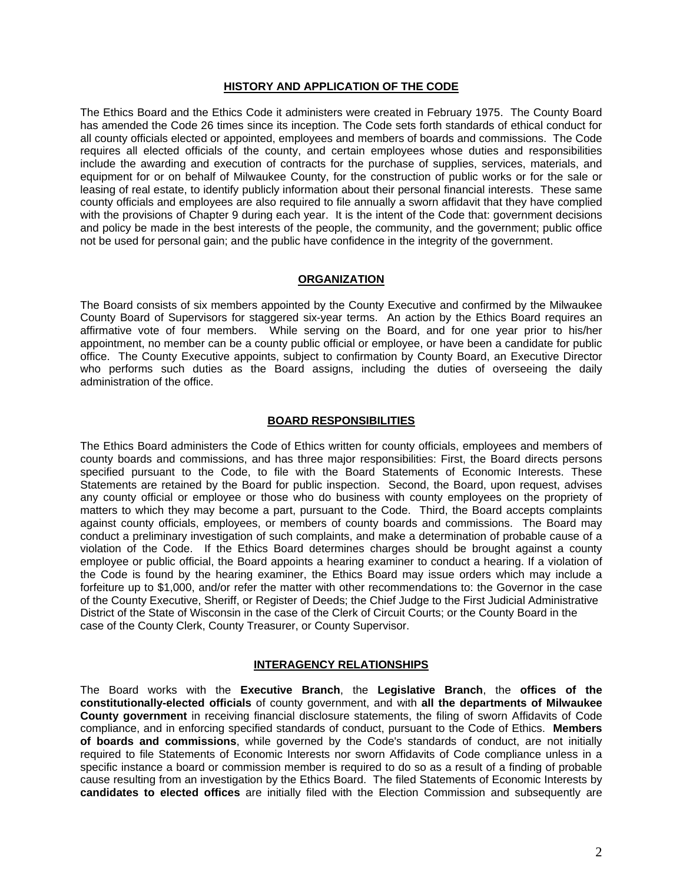### **HISTORY AND APPLICATION OF THE CODE**

The Ethics Board and the Ethics Code it administers were created in February 1975. The County Board has amended the Code 26 times since its inception. The Code sets forth standards of ethical conduct for all county officials elected or appointed, employees and members of boards and commissions. The Code requires all elected officials of the county, and certain employees whose duties and responsibilities include the awarding and execution of contracts for the purchase of supplies, services, materials, and equipment for or on behalf of Milwaukee County, for the construction of public works or for the sale or leasing of real estate, to identify publicly information about their personal financial interests. These same county officials and employees are also required to file annually a sworn affidavit that they have complied with the provisions of Chapter 9 during each year. It is the intent of the Code that: government decisions and policy be made in the best interests of the people, the community, and the government; public office not be used for personal gain; and the public have confidence in the integrity of the government.

## **ORGANIZATION**

The Board consists of six members appointed by the County Executive and confirmed by the Milwaukee County Board of Supervisors for staggered six-year terms. An action by the Ethics Board requires an affirmative vote of four members. While serving on the Board, and for one year prior to his/her appointment, no member can be a county public official or employee, or have been a candidate for public office. The County Executive appoints, subject to confirmation by County Board, an Executive Director who performs such duties as the Board assigns, including the duties of overseeing the daily administration of the office.

## **BOARD RESPONSIBILITIES**

The Ethics Board administers the Code of Ethics written for county officials, employees and members of county boards and commissions, and has three major responsibilities: First, the Board directs persons specified pursuant to the Code, to file with the Board Statements of Economic Interests. These Statements are retained by the Board for public inspection. Second, the Board, upon request, advises any county official or employee or those who do business with county employees on the propriety of matters to which they may become a part, pursuant to the Code. Third, the Board accepts complaints against county officials, employees, or members of county boards and commissions. The Board may conduct a preliminary investigation of such complaints, and make a determination of probable cause of a violation of the Code. If the Ethics Board determines charges should be brought against a county employee or public official, the Board appoints a hearing examiner to conduct a hearing. If a violation of the Code is found by the hearing examiner, the Ethics Board may issue orders which may include a forfeiture up to \$1,000, and/or refer the matter with other recommendations to: the Governor in the case of the County Executive, Sheriff, or Register of Deeds; the Chief Judge to the First Judicial Administrative District of the State of Wisconsin in the case of the Clerk of Circuit Courts; or the County Board in the case of the County Clerk, County Treasurer, or County Supervisor.

## **INTERAGENCY RELATIONSHIPS**

The Board works with the **Executive Branch**, the **Legislative Branch**, the **offices of the constitutionally-elected officials** of county government, and with **all the departments of Milwaukee County government** in receiving financial disclosure statements, the filing of sworn Affidavits of Code compliance, and in enforcing specified standards of conduct, pursuant to the Code of Ethics. **Members of boards and commissions**, while governed by the Code's standards of conduct, are not initially required to file Statements of Economic Interests nor sworn Affidavits of Code compliance unless in a specific instance a board or commission member is required to do so as a result of a finding of probable cause resulting from an investigation by the Ethics Board. The filed Statements of Economic Interests by **candidates to elected offices** are initially filed with the Election Commission and subsequently are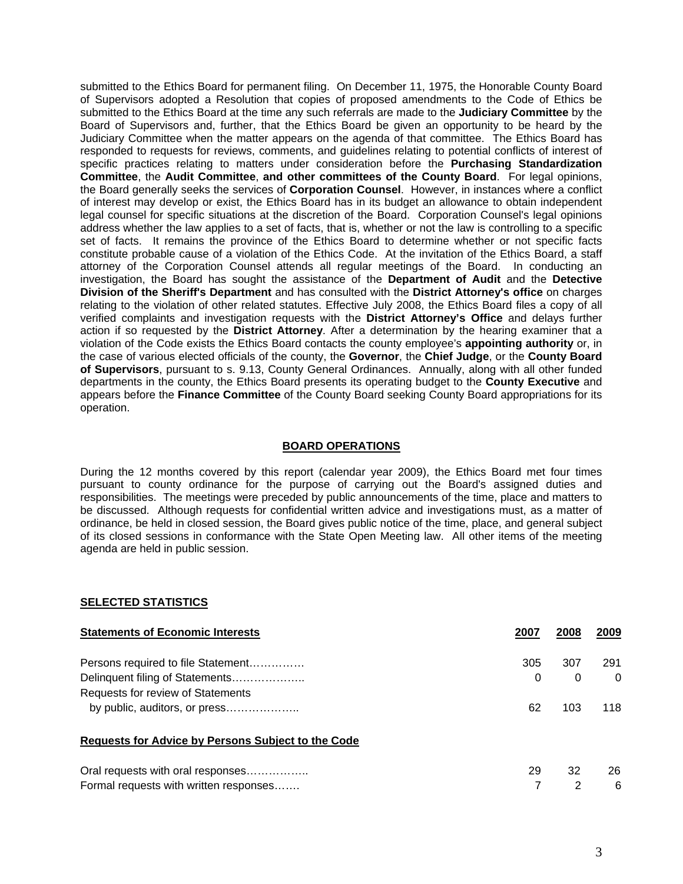submitted to the Ethics Board for permanent filing. On December 11, 1975, the Honorable County Board of Supervisors adopted a Resolution that copies of proposed amendments to the Code of Ethics be submitted to the Ethics Board at the time any such referrals are made to the **Judiciary Committee** by the Board of Supervisors and, further, that the Ethics Board be given an opportunity to be heard by the Judiciary Committee when the matter appears on the agenda of that committee. The Ethics Board has responded to requests for reviews, comments, and guidelines relating to potential conflicts of interest of specific practices relating to matters under consideration before the **Purchasing Standardization Committee**, the **Audit Committee**, **and other committees of the County Board**. For legal opinions, the Board generally seeks the services of **Corporation Counsel**. However, in instances where a conflict of interest may develop or exist, the Ethics Board has in its budget an allowance to obtain independent legal counsel for specific situations at the discretion of the Board. Corporation Counsel's legal opinions address whether the law applies to a set of facts, that is, whether or not the law is controlling to a specific set of facts. It remains the province of the Ethics Board to determine whether or not specific facts constitute probable cause of a violation of the Ethics Code. At the invitation of the Ethics Board, a staff attorney of the Corporation Counsel attends all regular meetings of the Board. In conducting an investigation, the Board has sought the assistance of the **Department of Audit** and the **Detective Division of the Sheriff's Department** and has consulted with the **District Attorney's office** on charges relating to the violation of other related statutes. Effective July 2008, the Ethics Board files a copy of all verified complaints and investigation requests with the **District Attorney's Office** and delays further action if so requested by the **District Attorney**. After a determination by the hearing examiner that a violation of the Code exists the Ethics Board contacts the county employee's **appointing authority** or, in the case of various elected officials of the county, the **Governor**, the **Chief Judge**, or the **County Board of Supervisors**, pursuant to s. 9.13, County General Ordinances. Annually, along with all other funded departments in the county, the Ethics Board presents its operating budget to the **County Executive** and appears before the **Finance Committee** of the County Board seeking County Board appropriations for its operation.

## **BOARD OPERATIONS**

During the 12 months covered by this report (calendar year 2009), the Ethics Board met four times pursuant to county ordinance for the purpose of carrying out the Board's assigned duties and responsibilities. The meetings were preceded by public announcements of the time, place and matters to be discussed. Although requests for confidential written advice and investigations must, as a matter of ordinance, be held in closed session, the Board gives public notice of the time, place, and general subject of its closed sessions in conformance with the State Open Meeting law. All other items of the meeting agenda are held in public session.

## **SELECTED STATISTICS**

| <b>Statements of Economic Interests</b>            | 2007 | 2008 | 2009     |
|----------------------------------------------------|------|------|----------|
| Persons required to file Statement                 | 305  | 307  | 291      |
| Delinquent filing of Statements                    | 0    | 0    | $\Omega$ |
| Requests for review of Statements                  |      |      |          |
|                                                    | 62   | 103  | 118      |
| Requests for Advice by Persons Subject to the Code |      |      |          |
| Oral requests with oral responses                  | 29   | 32   | 26       |
| Formal requests with written responses             |      | 2    | 6        |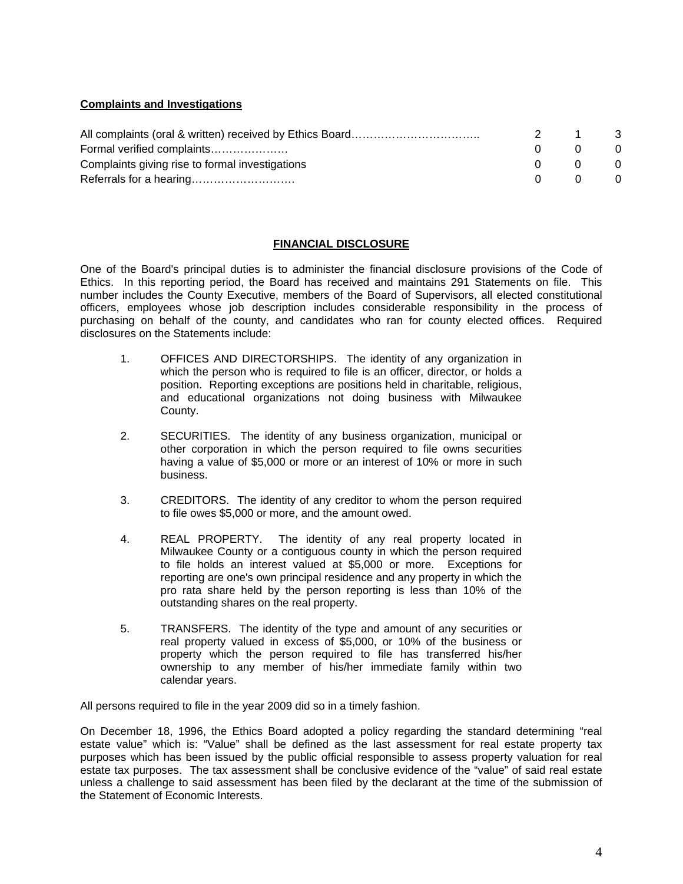# **Complaints and Investigations**

|                                                 | 2.           |          |                |
|-------------------------------------------------|--------------|----------|----------------|
| Formal verified complaints                      | $\mathbf{0}$ |          | $\overline{0}$ |
| Complaints giving rise to formal investigations | $\Omega$     | റ        | $\overline{0}$ |
|                                                 | $\Omega$     | $\Omega$ | $\overline{0}$ |

## **FINANCIAL DISCLOSURE**

One of the Board's principal duties is to administer the financial disclosure provisions of the Code of Ethics. In this reporting period, the Board has received and maintains 291 Statements on file. This number includes the County Executive, members of the Board of Supervisors, all elected constitutional officers, employees whose job description includes considerable responsibility in the process of purchasing on behalf of the county, and candidates who ran for county elected offices. Required disclosures on the Statements include:

- 1. OFFICES AND DIRECTORSHIPS. The identity of any organization in which the person who is required to file is an officer, director, or holds a position. Reporting exceptions are positions held in charitable, religious, and educational organizations not doing business with Milwaukee County.
- 2. SECURITIES. The identity of any business organization, municipal or other corporation in which the person required to file owns securities having a value of \$5,000 or more or an interest of 10% or more in such business.
- 3. CREDITORS. The identity of any creditor to whom the person required to file owes \$5,000 or more, and the amount owed.
- 4. REAL PROPERTY. The identity of any real property located in Milwaukee County or a contiguous county in which the person required to file holds an interest valued at \$5,000 or more. Exceptions for reporting are one's own principal residence and any property in which the pro rata share held by the person reporting is less than 10% of the outstanding shares on the real property.
- 5. TRANSFERS. The identity of the type and amount of any securities or real property valued in excess of \$5,000, or 10% of the business or property which the person required to file has transferred his/her ownership to any member of his/her immediate family within two calendar years.

All persons required to file in the year 2009 did so in a timely fashion.

On December 18, 1996, the Ethics Board adopted a policy regarding the standard determining "real estate value" which is: "Value" shall be defined as the last assessment for real estate property tax purposes which has been issued by the public official responsible to assess property valuation for real estate tax purposes. The tax assessment shall be conclusive evidence of the "value" of said real estate unless a challenge to said assessment has been filed by the declarant at the time of the submission of the Statement of Economic Interests.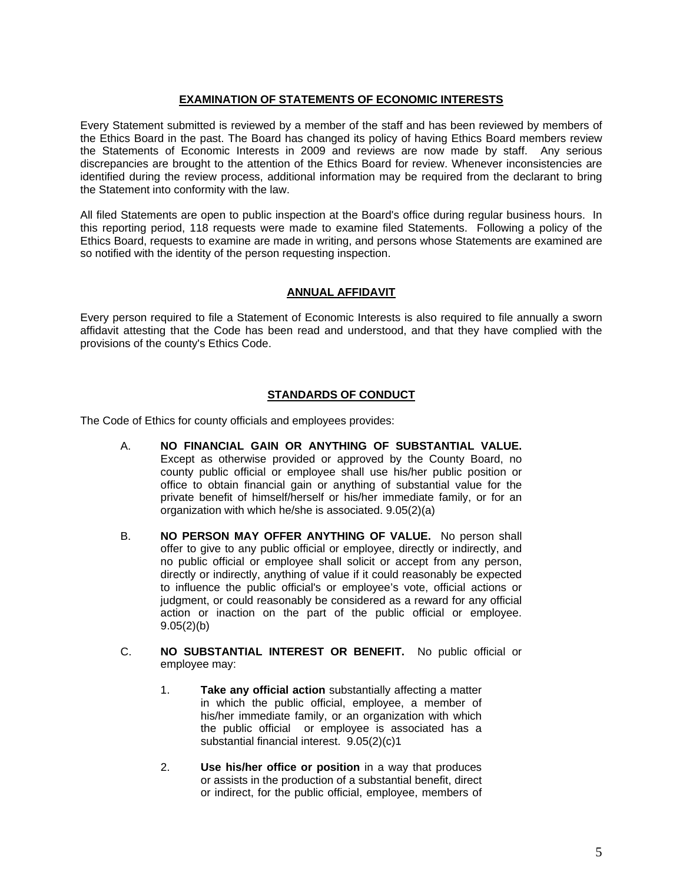## **EXAMINATION OF STATEMENTS OF ECONOMIC INTERESTS**

Every Statement submitted is reviewed by a member of the staff and has been reviewed by members of the Ethics Board in the past. The Board has changed its policy of having Ethics Board members review the Statements of Economic Interests in 2009 and reviews are now made by staff. Any serious discrepancies are brought to the attention of the Ethics Board for review. Whenever inconsistencies are identified during the review process, additional information may be required from the declarant to bring the Statement into conformity with the law.

All filed Statements are open to public inspection at the Board's office during regular business hours. In this reporting period, 118 requests were made to examine filed Statements. Following a policy of the Ethics Board, requests to examine are made in writing, and persons whose Statements are examined are so notified with the identity of the person requesting inspection.

## **ANNUAL AFFIDAVIT**

Every person required to file a Statement of Economic Interests is also required to file annually a sworn affidavit attesting that the Code has been read and understood, and that they have complied with the provisions of the county's Ethics Code.

## **STANDARDS OF CONDUCT**

The Code of Ethics for county officials and employees provides:

- A. **NO FINANCIAL GAIN OR ANYTHING OF SUBSTANTIAL VALUE.** Except as otherwise provided or approved by the County Board, no county public official or employee shall use his/her public position or office to obtain financial gain or anything of substantial value for the private benefit of himself/herself or his/her immediate family, or for an organization with which he/she is associated. 9.05(2)(a)
- B. **NO PERSON MAY OFFER ANYTHING OF VALUE.** No person shall offer to give to any public official or employee, directly or indirectly, and no public official or employee shall solicit or accept from any person, directly or indirectly, anything of value if it could reasonably be expected to influence the public official's or employee's vote, official actions or judgment, or could reasonably be considered as a reward for any official action or inaction on the part of the public official or employee.  $9.05(2)(b)$
- C. **NO SUBSTANTIAL INTEREST OR BENEFIT.** No public official or employee may:
	- 1. **Take any official action** substantially affecting a matter in which the public official, employee, a member of his/her immediate family, or an organization with which the public official or employee is associated has a substantial financial interest. 9.05(2)(c)1
	- 2. **Use his/her office or position** in a way that produces or assists in the production of a substantial benefit, direct or indirect, for the public official, employee, members of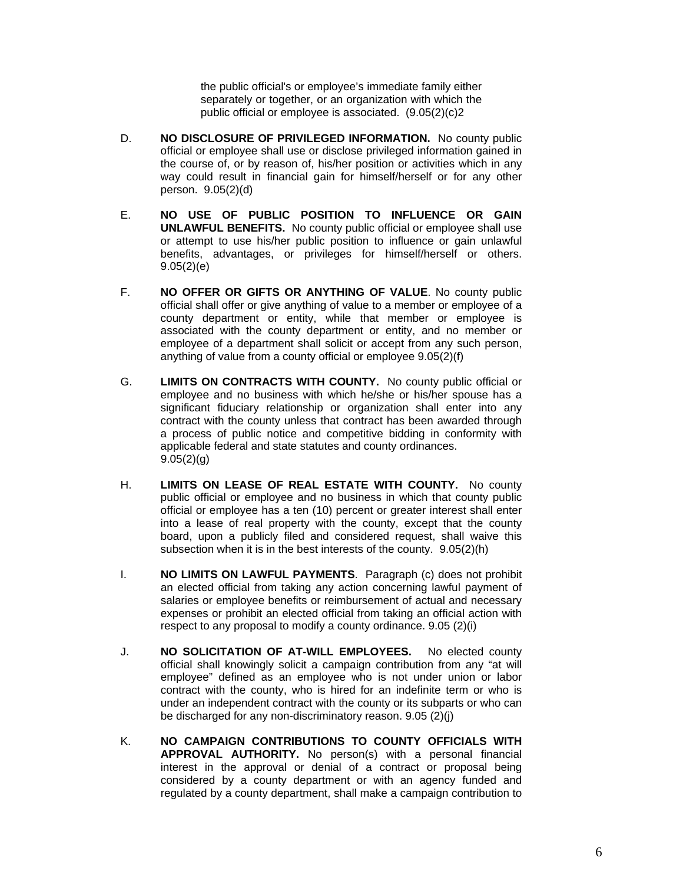the public official's or employee's immediate family either separately or together, or an organization with which the public official or employee is associated. (9.05(2)(c)2

- D. **NO DISCLOSURE OF PRIVILEGED INFORMATION.** No county public official or employee shall use or disclose privileged information gained in the course of, or by reason of, his/her position or activities which in any way could result in financial gain for himself/herself or for any other person. 9.05(2)(d)
- E. **NO USE OF PUBLIC POSITION TO INFLUENCE OR GAIN UNLAWFUL BENEFITS.** No county public official or employee shall use or attempt to use his/her public position to influence or gain unlawful benefits, advantages, or privileges for himself/herself or others. 9.05(2)(e)
- F. **NO OFFER OR GIFTS OR ANYTHING OF VALUE**. No county public official shall offer or give anything of value to a member or employee of a county department or entity, while that member or employee is associated with the county department or entity, and no member or employee of a department shall solicit or accept from any such person, anything of value from a county official or employee 9.05(2)(f)
- G. **LIMITS ON CONTRACTS WITH COUNTY.** No county public official or employee and no business with which he/she or his/her spouse has a significant fiduciary relationship or organization shall enter into any contract with the county unless that contract has been awarded through a process of public notice and competitive bidding in conformity with applicable federal and state statutes and county ordinances.  $9.05(2)(q)$
- H. **LIMITS ON LEASE OF REAL ESTATE WITH COUNTY.** No county public official or employee and no business in which that county public official or employee has a ten (10) percent or greater interest shall enter into a lease of real property with the county, except that the county board, upon a publicly filed and considered request, shall waive this subsection when it is in the best interests of the county. 9.05(2)(h)
- I. **NO LIMITS ON LAWFUL PAYMENTS**. Paragraph (c) does not prohibit an elected official from taking any action concerning lawful payment of salaries or employee benefits or reimbursement of actual and necessary expenses or prohibit an elected official from taking an official action with respect to any proposal to modify a county ordinance. 9.05 (2)(i)
- J. **NO SOLICITATION OF AT-WILL EMPLOYEES.** No elected county official shall knowingly solicit a campaign contribution from any "at will employee" defined as an employee who is not under union or labor contract with the county, who is hired for an indefinite term or who is under an independent contract with the county or its subparts or who can be discharged for any non-discriminatory reason. 9.05 (2)(j)
- K. **NO CAMPAIGN CONTRIBUTIONS TO COUNTY OFFICIALS WITH APPROVAL AUTHORITY.** No person(s) with a personal financial interest in the approval or denial of a contract or proposal being considered by a county department or with an agency funded and regulated by a county department, shall make a campaign contribution to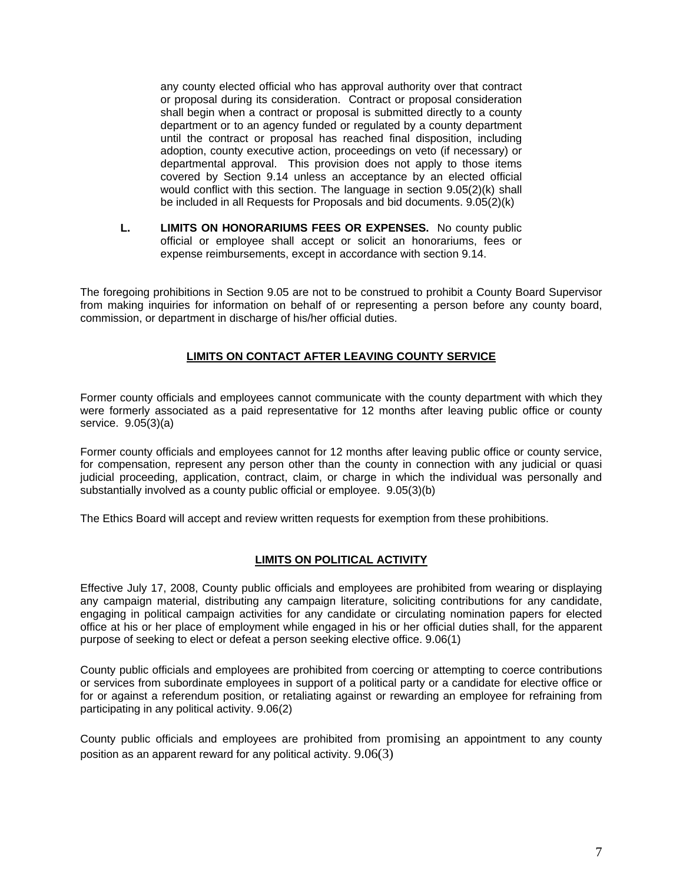any county elected official who has approval authority over that contract or proposal during its consideration. Contract or proposal consideration shall begin when a contract or proposal is submitted directly to a county department or to an agency funded or regulated by a county department until the contract or proposal has reached final disposition, including adoption, county executive action, proceedings on veto (if necessary) or departmental approval. This provision does not apply to those items covered by Section 9.14 unless an acceptance by an elected official would conflict with this section. The language in section 9.05(2)(k) shall be included in all Requests for Proposals and bid documents. 9.05(2)(k)

**L. LIMITS ON HONORARIUMS FEES OR EXPENSES.** No county public official or employee shall accept or solicit an honorariums, fees or expense reimbursements, except in accordance with section 9.14.

The foregoing prohibitions in Section 9.05 are not to be construed to prohibit a County Board Supervisor from making inquiries for information on behalf of or representing a person before any county board, commission, or department in discharge of his/her official duties.

# **LIMITS ON CONTACT AFTER LEAVING COUNTY SERVICE**

Former county officials and employees cannot communicate with the county department with which they were formerly associated as a paid representative for 12 months after leaving public office or county service. 9.05(3)(a)

Former county officials and employees cannot for 12 months after leaving public office or county service, for compensation, represent any person other than the county in connection with any judicial or quasi judicial proceeding, application, contract, claim, or charge in which the individual was personally and substantially involved as a county public official or employee. 9.05(3)(b)

The Ethics Board will accept and review written requests for exemption from these prohibitions.

# **LIMITS ON POLITICAL ACTIVITY**

Effective July 17, 2008, County public officials and employees are prohibited from wearing or displaying any campaign material, distributing any campaign literature, soliciting contributions for any candidate, engaging in political campaign activities for any candidate or circulating nomination papers for elected office at his or her place of employment while engaged in his or her official duties shall, for the apparent purpose of seeking to elect or defeat a person seeking elective office. 9.06(1)

County public officials and employees are prohibited from coercing or attempting to coerce contributions or services from subordinate employees in support of a political party or a candidate for elective office or for or against a referendum position, or retaliating against or rewarding an employee for refraining from participating in any political activity. 9.06(2)

County public officials and employees are prohibited from promising an appointment to any county position as an apparent reward for any political activity. 9.06(3)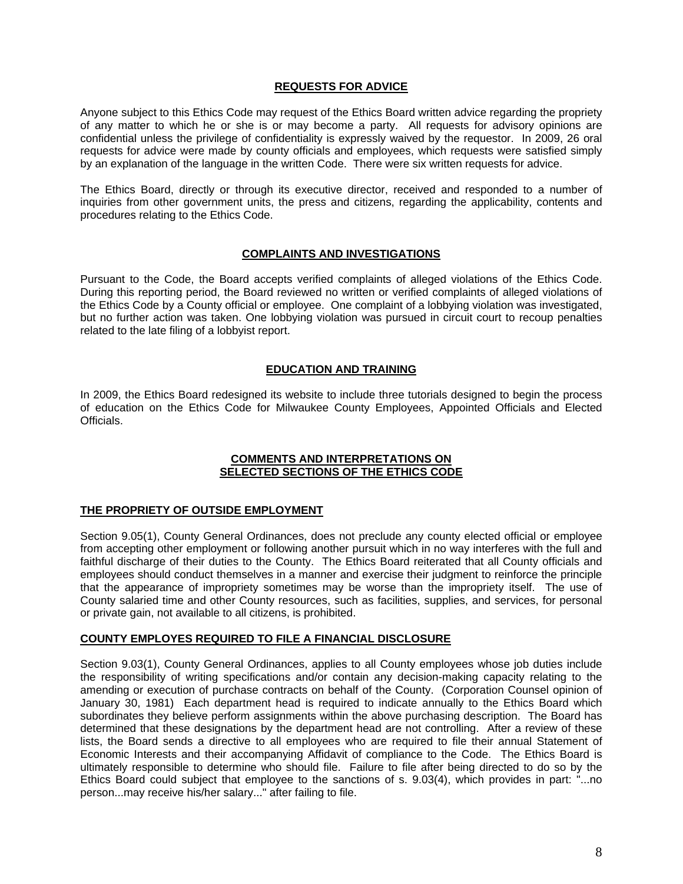## **REQUESTS FOR ADVICE**

Anyone subject to this Ethics Code may request of the Ethics Board written advice regarding the propriety of any matter to which he or she is or may become a party. All requests for advisory opinions are confidential unless the privilege of confidentiality is expressly waived by the requestor. In 2009, 26 oral requests for advice were made by county officials and employees, which requests were satisfied simply by an explanation of the language in the written Code. There were six written requests for advice.

The Ethics Board, directly or through its executive director, received and responded to a number of inquiries from other government units, the press and citizens, regarding the applicability, contents and procedures relating to the Ethics Code.

## **COMPLAINTS AND INVESTIGATIONS**

Pursuant to the Code, the Board accepts verified complaints of alleged violations of the Ethics Code. During this reporting period, the Board reviewed no written or verified complaints of alleged violations of the Ethics Code by a County official or employee. One complaint of a lobbying violation was investigated, but no further action was taken. One lobbying violation was pursued in circuit court to recoup penalties related to the late filing of a lobbyist report.

## **EDUCATION AND TRAINING**

In 2009, the Ethics Board redesigned its website to include three tutorials designed to begin the process of education on the Ethics Code for Milwaukee County Employees, Appointed Officials and Elected Officials.

## **COMMENTS AND INTERPRETATIONS ON SELECTED SECTIONS OF THE ETHICS CODE**

## **THE PROPRIETY OF OUTSIDE EMPLOYMENT**

Section 9.05(1), County General Ordinances, does not preclude any county elected official or employee from accepting other employment or following another pursuit which in no way interferes with the full and faithful discharge of their duties to the County. The Ethics Board reiterated that all County officials and employees should conduct themselves in a manner and exercise their judgment to reinforce the principle that the appearance of impropriety sometimes may be worse than the impropriety itself. The use of County salaried time and other County resources, such as facilities, supplies, and services, for personal or private gain, not available to all citizens, is prohibited.

## **COUNTY EMPLOYES REQUIRED TO FILE A FINANCIAL DISCLOSURE**

Section 9.03(1), County General Ordinances, applies to all County employees whose job duties include the responsibility of writing specifications and/or contain any decision-making capacity relating to the amending or execution of purchase contracts on behalf of the County. (Corporation Counsel opinion of January 30, 1981) Each department head is required to indicate annually to the Ethics Board which subordinates they believe perform assignments within the above purchasing description. The Board has determined that these designations by the department head are not controlling. After a review of these lists, the Board sends a directive to all employees who are required to file their annual Statement of Economic Interests and their accompanying Affidavit of compliance to the Code. The Ethics Board is ultimately responsible to determine who should file. Failure to file after being directed to do so by the Ethics Board could subject that employee to the sanctions of s. 9.03(4), which provides in part: "...no person...may receive his/her salary..." after failing to file.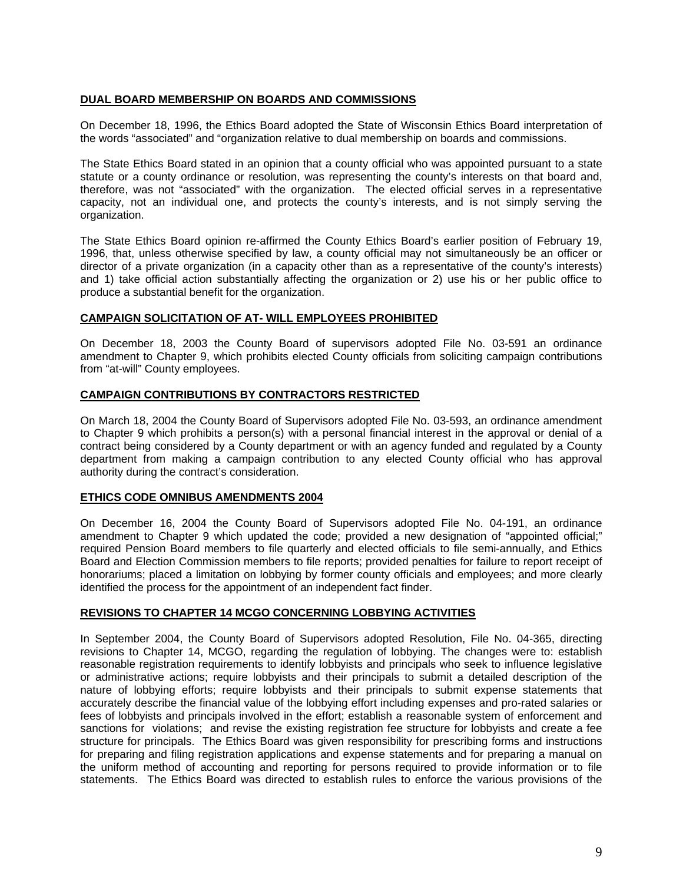## **DUAL BOARD MEMBERSHIP ON BOARDS AND COMMISSIONS**

On December 18, 1996, the Ethics Board adopted the State of Wisconsin Ethics Board interpretation of the words "associated" and "organization relative to dual membership on boards and commissions.

The State Ethics Board stated in an opinion that a county official who was appointed pursuant to a state statute or a county ordinance or resolution, was representing the county's interests on that board and, therefore, was not "associated" with the organization. The elected official serves in a representative capacity, not an individual one, and protects the county's interests, and is not simply serving the organization.

The State Ethics Board opinion re-affirmed the County Ethics Board's earlier position of February 19, 1996, that, unless otherwise specified by law, a county official may not simultaneously be an officer or director of a private organization (in a capacity other than as a representative of the county's interests) and 1) take official action substantially affecting the organization or 2) use his or her public office to produce a substantial benefit for the organization.

## **CAMPAIGN SOLICITATION OF AT- WILL EMPLOYEES PROHIBITED**

On December 18, 2003 the County Board of supervisors adopted File No. 03-591 an ordinance amendment to Chapter 9, which prohibits elected County officials from soliciting campaign contributions from "at-will" County employees.

## **CAMPAIGN CONTRIBUTIONS BY CONTRACTORS RESTRICTED**

On March 18, 2004 the County Board of Supervisors adopted File No. 03-593, an ordinance amendment to Chapter 9 which prohibits a person(s) with a personal financial interest in the approval or denial of a contract being considered by a County department or with an agency funded and regulated by a County department from making a campaign contribution to any elected County official who has approval authority during the contract's consideration.

# **ETHICS CODE OMNIBUS AMENDMENTS 2004**

On December 16, 2004 the County Board of Supervisors adopted File No. 04-191, an ordinance amendment to Chapter 9 which updated the code; provided a new designation of "appointed official;" required Pension Board members to file quarterly and elected officials to file semi-annually, and Ethics Board and Election Commission members to file reports; provided penalties for failure to report receipt of honorariums; placed a limitation on lobbying by former county officials and employees; and more clearly identified the process for the appointment of an independent fact finder.

# **REVISIONS TO CHAPTER 14 MCGO CONCERNING LOBBYING ACTIVITIES**

In September 2004, the County Board of Supervisors adopted Resolution, File No. 04-365, directing revisions to Chapter 14, MCGO, regarding the regulation of lobbying. The changes were to: establish reasonable registration requirements to identify lobbyists and principals who seek to influence legislative or administrative actions; require lobbyists and their principals to submit a detailed description of the nature of lobbying efforts; require lobbyists and their principals to submit expense statements that accurately describe the financial value of the lobbying effort including expenses and pro-rated salaries or fees of lobbyists and principals involved in the effort; establish a reasonable system of enforcement and sanctions for violations; and revise the existing registration fee structure for lobbyists and create a fee structure for principals. The Ethics Board was given responsibility for prescribing forms and instructions for preparing and filing registration applications and expense statements and for preparing a manual on the uniform method of accounting and reporting for persons required to provide information or to file statements. The Ethics Board was directed to establish rules to enforce the various provisions of the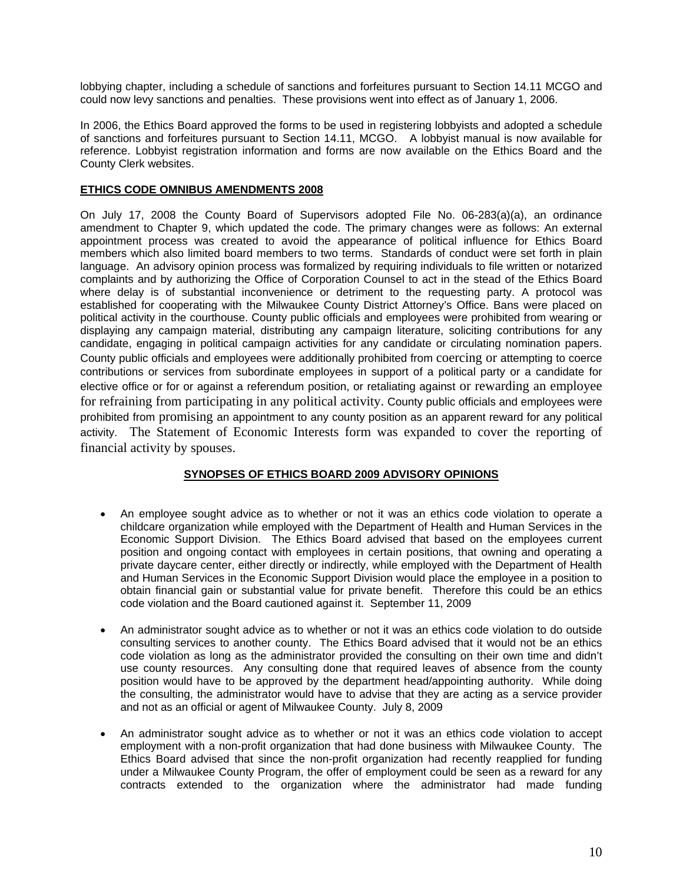lobbying chapter, including a schedule of sanctions and forfeitures pursuant to Section 14.11 MCGO and could now levy sanctions and penalties. These provisions went into effect as of January 1, 2006.

In 2006, the Ethics Board approved the forms to be used in registering lobbyists and adopted a schedule of sanctions and forfeitures pursuant to Section 14.11, MCGO. A lobbyist manual is now available for reference. Lobbyist registration information and forms are now available on the Ethics Board and the County Clerk websites.

# **ETHICS CODE OMNIBUS AMENDMENTS 2008**

On July 17, 2008 the County Board of Supervisors adopted File No. 06-283(a)(a), an ordinance amendment to Chapter 9, which updated the code. The primary changes were as follows: An external appointment process was created to avoid the appearance of political influence for Ethics Board members which also limited board members to two terms. Standards of conduct were set forth in plain language. An advisory opinion process was formalized by requiring individuals to file written or notarized complaints and by authorizing the Office of Corporation Counsel to act in the stead of the Ethics Board where delay is of substantial inconvenience or detriment to the requesting party. A protocol was established for cooperating with the Milwaukee County District Attorney's Office. Bans were placed on political activity in the courthouse. County public officials and employees were prohibited from wearing or displaying any campaign material, distributing any campaign literature, soliciting contributions for any candidate, engaging in political campaign activities for any candidate or circulating nomination papers. County public officials and employees were additionally prohibited from coercing or attempting to coerce contributions or services from subordinate employees in support of a political party or a candidate for elective office or for or against a referendum position, or retaliating against or rewarding an employee for refraining from participating in any political activity. County public officials and employees were prohibited from promising an appointment to any county position as an apparent reward for any political activity. The Statement of Economic Interests form was expanded to cover the reporting of financial activity by spouses.

# **SYNOPSES OF ETHICS BOARD 2009 ADVISORY OPINIONS**

- An employee sought advice as to whether or not it was an ethics code violation to operate a childcare organization while employed with the Department of Health and Human Services in the Economic Support Division. The Ethics Board advised that based on the employees current position and ongoing contact with employees in certain positions, that owning and operating a private daycare center, either directly or indirectly, while employed with the Department of Health and Human Services in the Economic Support Division would place the employee in a position to obtain financial gain or substantial value for private benefit. Therefore this could be an ethics code violation and the Board cautioned against it. September 11, 2009
- An administrator sought advice as to whether or not it was an ethics code violation to do outside consulting services to another county. The Ethics Board advised that it would not be an ethics code violation as long as the administrator provided the consulting on their own time and didn't use county resources. Any consulting done that required leaves of absence from the county position would have to be approved by the department head/appointing authority. While doing the consulting, the administrator would have to advise that they are acting as a service provider and not as an official or agent of Milwaukee County. July 8, 2009
- An administrator sought advice as to whether or not it was an ethics code violation to accept employment with a non-profit organization that had done business with Milwaukee County. The Ethics Board advised that since the non-profit organization had recently reapplied for funding under a Milwaukee County Program, the offer of employment could be seen as a reward for any contracts extended to the organization where the administrator had made funding